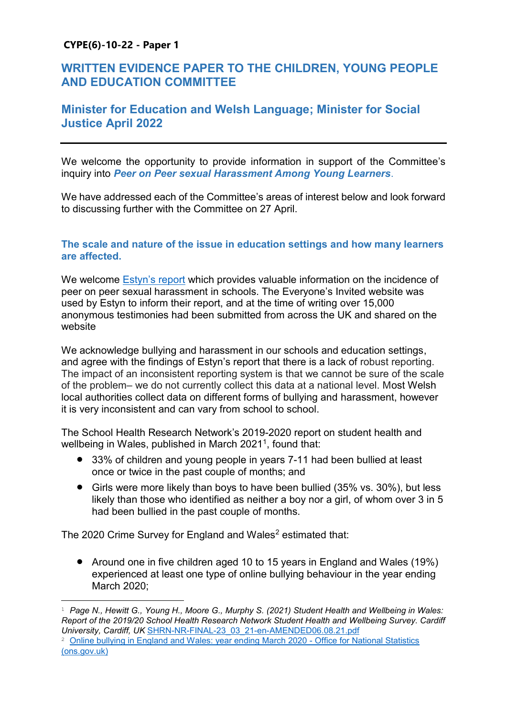# **CYPE(6)-10-22 - Paper 1**

# **WRITTEN EVIDENCE PAPER TO THE CHILDREN, YOUNG PEOPLE AND EDUCATION COMMITTEE**

# **Minister for Education and Welsh Language; Minister for Social Justice April 2022**

We welcome the opportunity to provide information in support of the Committee's inquiry into *Peer on Peer sexual Harassment Among Young Learners*.

We have addressed each of the Committee's areas of interest below and look forward to discussing further with the Committee on 27 April.

# **The scale and nature of the issue in education settings and how many learners are affected.**

We welcome [Estyn's report](https://www.estyn.gov.wales/system/files/2021-12/Experiences%20of%20peer-on-peer%20sexual%20harassment%20among%20secondary%20school%20pupils%20in%20Wales_0.pdf) which provides valuable information on the incidence of peer on peer sexual harassment in schools. The Everyone's Invited website was used by Estyn to inform their report, and at the time of writing over 15,000 anonymous testimonies had been submitted from across the UK and shared on the website

We acknowledge bullying and harassment in our schools and education settings, and agree with the findings of Estyn's report that there is a lack of robust reporting. The impact of an inconsistent reporting system is that we cannot be sure of the scale of the problem– we do not currently collect this data at a national level. Most Welsh local authorities collect data on different forms of bullying and harassment, however it is very inconsistent and can vary from school to school.

The School Health Research Network's 2019-2020 report on student health and wellbeing in Wales, published in March 2021<sup>1</sup>, found that:

- 33% of children and young people in years 7-11 had been bullied at least once or twice in the past couple of months; and
- Girls were more likely than boys to have been bullied (35% vs. 30%), but less likely than those who identified as neither a boy nor a girl, of whom over 3 in 5 had been bullied in the past couple of months.

The 2020 Crime Survey for England and Wales<sup>2</sup> estimated that:

• Around one in five children aged 10 to 15 years in England and Wales (19%) experienced at least one type of online bullying behaviour in the year ending March 2020;

<sup>1</sup> *Page N., Hewitt G., Young H., Moore G., Murphy S. (2021) Student Health and Wellbeing in Wales: Report of the 2019/20 School Health Research Network Student Health and Wellbeing Survey. Cardiff University, Cardiff, UK* [SHRN-NR-FINAL-23\\_03\\_21-en-AMENDED06.08.21.pdf](https://www.shrn.org.uk/wp-content/uploads/2021/08/SHRN-NR-FINAL-23_03_21-en-AMENDED06.08.21.pdf)

<sup>&</sup>lt;sup>2</sup> [Online bullying in England and Wales: year ending March 2020 -](https://www.ons.gov.uk/releases/onlinebullyinginenglandandwalesyearendingmarch2020) Office for National Statistics [\(ons.gov.uk\)](https://www.ons.gov.uk/releases/onlinebullyinginenglandandwalesyearendingmarch2020)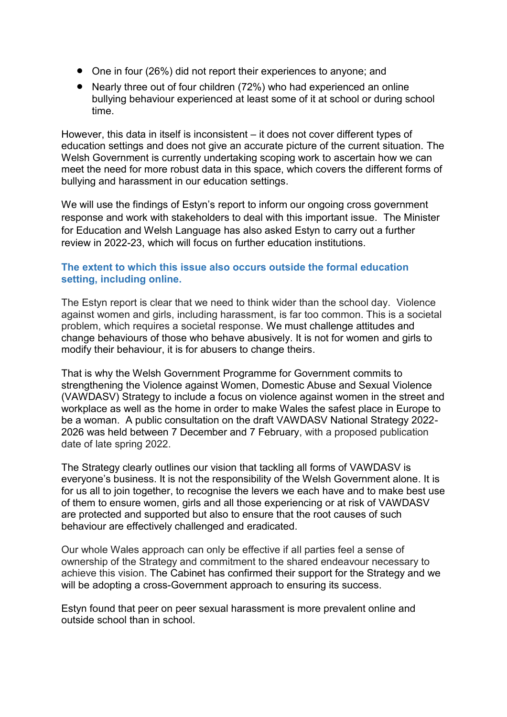- One in four (26%) did not report their experiences to anyone; and
- Nearly three out of four children (72%) who had experienced an online bullying behaviour experienced at least some of it at school or during school time.

However, this data in itself is inconsistent – it does not cover different types of education settings and does not give an accurate picture of the current situation. The Welsh Government is currently undertaking scoping work to ascertain how we can meet the need for more robust data in this space, which covers the different forms of bullying and harassment in our education settings.

We will use the findings of Estyn's report to inform our ongoing cross government response and work with stakeholders to deal with this important issue. The Minister for Education and Welsh Language has also asked Estyn to carry out a further review in 2022-23, which will focus on further education institutions.

# **The extent to which this issue also occurs outside the formal education setting, including online.**

The Estyn report is clear that we need to think wider than the school day. Violence against women and girls, including harassment, is far too common. This is a societal problem, which requires a societal response. We must challenge attitudes and change behaviours of those who behave abusively. It is not for women and girls to modify their behaviour, it is for abusers to change theirs.

That is why the Welsh Government Programme for Government commits to strengthening the Violence against Women, Domestic Abuse and Sexual Violence (VAWDASV) Strategy to include a focus on violence against women in the street and workplace as well as the home in order to make Wales the safest place in Europe to be a woman. A public consultation on the draft VAWDASV National Strategy 2022- 2026 was held between 7 December and 7 February, with a proposed publication date of late spring 2022.

The Strategy clearly outlines our vision that tackling all forms of VAWDASV is everyone's business. It is not the responsibility of the Welsh Government alone. It is for us all to join together, to recognise the levers we each have and to make best use of them to ensure women, girls and all those experiencing or at risk of VAWDASV are protected and supported but also to ensure that the root causes of such behaviour are effectively challenged and eradicated.

Our whole Wales approach can only be effective if all parties feel a sense of ownership of the Strategy and commitment to the shared endeavour necessary to achieve this vision. The Cabinet has confirmed their support for the Strategy and we will be adopting a cross-Government approach to ensuring its success.

Estyn found that peer on peer sexual harassment is more prevalent online and outside school than in school.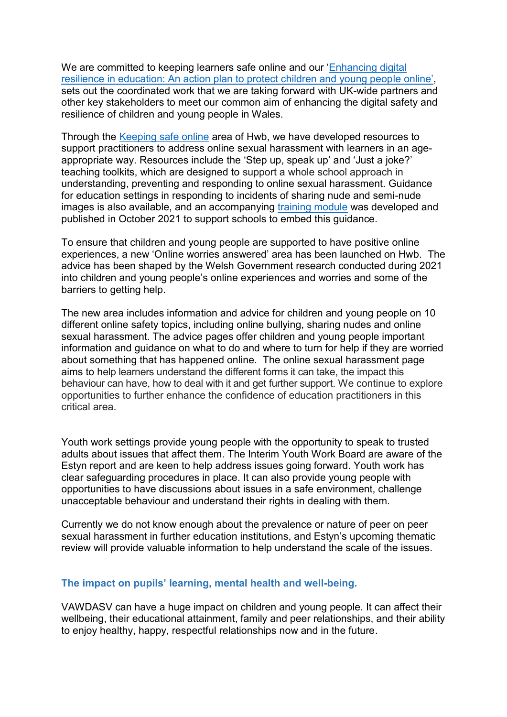We are committed to keeping learners safe online and our '[Enhancing digital](https://hwb.gov.wales/zones/keeping-safe-online/enhancing-digital-resilience-in-education-an-action-plan-to-protect-children-and-young-people-online/)  [resilience in education: An action plan to protect children and young people online](https://hwb.gov.wales/zones/keeping-safe-online/enhancing-digital-resilience-in-education-an-action-plan-to-protect-children-and-young-people-online/)', sets out the coordinated work that we are taking forward with UK-wide partners and other key stakeholders to meet our common aim of enhancing the digital safety and resilience of children and young people in Wales.

Through the [Keeping safe online](https://eur01.safelinks.protection.outlook.com/?url=https%3A%2F%2Fhwb.gov.wales%2Fzones%2Fkeeping-safe-online%2F&data=04%7C01%7CKate.Rothwell%40gov.wales%7C7f79d0c7be904171a82308d920878759%7Ca2cc36c592804ae78887d06dab89216b%7C0%7C0%7C637576588721799293%7CUnknown%7CTWFpbGZsb3d8eyJWIjoiMC4wLjAwMDAiLCJQIjoiV2luMzIiLCJBTiI6Ik1haWwiLCJXVCI6Mn0%3D%7C1000&sdata=2QL%2FCpQos%2FStHpmhuIF2rLiWca974xOAP7gErETJNHM%3D&reserved=0) area of Hwb, we have developed resources to support practitioners to address online sexual harassment with learners in an ageappropriate way. Resources include the 'Step up, speak up' and 'Just a joke?' teaching toolkits, which are designed to support a whole school approach in understanding, preventing and responding to online sexual harassment. Guidance for education settings in responding to incidents of sharing nude and semi-nude images is also available, and an accompanying [training module](https://hwb.gov.wales/repository/resource/7fbdda2f-3ec0-410d-b240-df1ba55b6e41) was developed and published in October 2021 to support schools to embed this guidance.

To ensure that children and young people are supported to have positive online experiences, a new 'Online worries answered' area has been launched on Hwb. The advice has been shaped by the Welsh Government research conducted during 2021 into children and young people's online experiences and worries and some of the barriers to getting help.

The new area includes information and advice for children and young people on 10 different online safety topics, including online bullying, sharing nudes and online sexual harassment. The advice pages offer children and young people important information and guidance on what to do and where to turn for help if they are worried about something that has happened online. The online sexual harassment page aims to help learners understand the different forms it can take, the impact this behaviour can have, how to deal with it and get further support. We continue to explore opportunities to further enhance the confidence of education practitioners in this critical area.

Youth work settings provide young people with the opportunity to speak to trusted adults about issues that affect them. The Interim Youth Work Board are aware of the Estyn report and are keen to help address issues going forward. Youth work has clear safeguarding procedures in place. It can also provide young people with opportunities to have discussions about issues in a safe environment, challenge unacceptable behaviour and understand their rights in dealing with them.

Currently we do not know enough about the prevalence or nature of peer on peer sexual harassment in further education institutions, and Estyn's upcoming thematic review will provide valuable information to help understand the scale of the issues.

#### **The impact on pupils' learning, mental health and well-being.**

VAWDASV can have a huge impact on children and young people. It can affect their wellbeing, their educational attainment, family and peer relationships, and their ability to enjoy healthy, happy, respectful relationships now and in the future.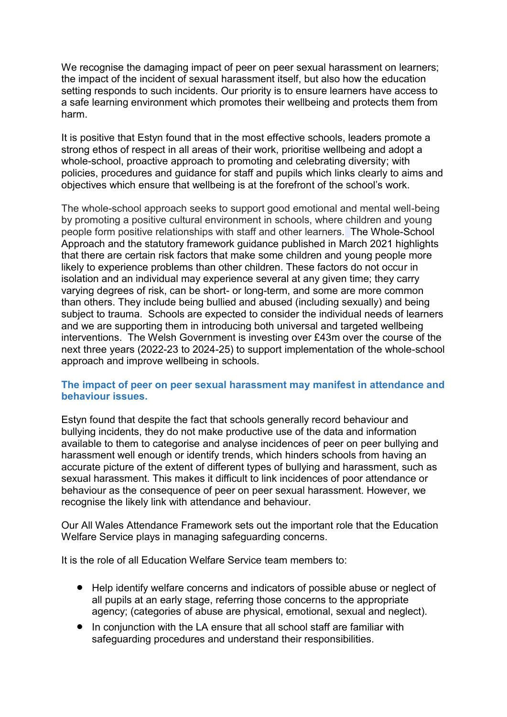We recognise the damaging impact of peer on peer sexual harassment on learners; the impact of the incident of sexual harassment itself, but also how the education setting responds to such incidents. Our priority is to ensure learners have access to a safe learning environment which promotes their wellbeing and protects them from harm.

It is positive that Estyn found that in the most effective schools, leaders promote a strong ethos of respect in all areas of their work, prioritise wellbeing and adopt a whole-school, proactive approach to promoting and celebrating diversity; with policies, procedures and guidance for staff and pupils which links clearly to aims and objectives which ensure that wellbeing is at the forefront of the school's work.

The whole-school approach seeks to support good emotional and mental well-being by promoting a positive cultural environment in schools, where children and young people form positive relationships with staff and other learners. The Whole-School Approach and the statutory framework guidance published in March 2021 highlights that there are certain risk factors that make some children and young people more likely to experience problems than other children. These factors do not occur in isolation and an individual may experience several at any given time; they carry varying degrees of risk, can be short- or long-term, and some are more common than others. They include being bullied and abused (including sexually) and being subject to trauma. Schools are expected to consider the individual needs of learners and we are supporting them in introducing both universal and targeted wellbeing interventions. The Welsh Government is investing over £43m over the course of the next three years (2022-23 to 2024-25) to support implementation of the whole-school approach and improve wellbeing in schools.

# **The impact of peer on peer sexual harassment may manifest in attendance and behaviour issues.**

Estyn found that despite the fact that schools generally record behaviour and bullying incidents, they do not make productive use of the data and information available to them to categorise and analyse incidences of peer on peer bullying and harassment well enough or identify trends, which hinders schools from having an accurate picture of the extent of different types of bullying and harassment, such as sexual harassment. This makes it difficult to link incidences of poor attendance or behaviour as the consequence of peer on peer sexual harassment. However, we recognise the likely link with attendance and behaviour.

Our All Wales Attendance Framework sets out the important role that the Education Welfare Service plays in managing safeguarding concerns.

It is the role of all Education Welfare Service team members to:

- Help identify welfare concerns and indicators of possible abuse or neglect of all pupils at an early stage, referring those concerns to the appropriate agency; (categories of abuse are physical, emotional, sexual and neglect).
- In conjunction with the LA ensure that all school staff are familiar with safeguarding procedures and understand their responsibilities.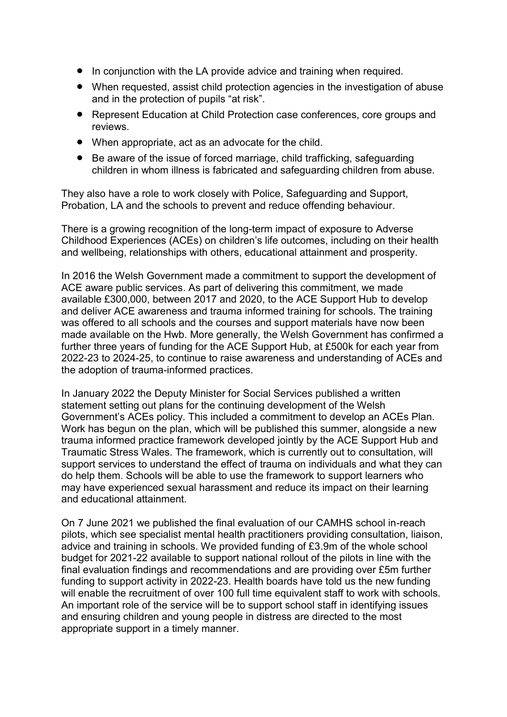- In conjunction with the LA provide advice and training when required.
- When requested, assist child protection agencies in the investigation of abuse and in the protection of pupils "at risk".
- Represent Education at Child Protection case conferences, core groups and reviews.
- When appropriate, act as an advocate for the child.
- Be aware of the issue of forced marriage, child trafficking, safeguarding children in whom illness is fabricated and safeguarding children from abuse.

They also have a role to work closely with Police, Safeguarding and Support, Probation, LA and the schools to prevent and reduce offending behaviour.

There is a growing recognition of the long-term impact of exposure to Adverse Childhood Experiences (ACEs) on children's life outcomes, including on their health and wellbeing, relationships with others, educational attainment and prosperity.

In 2016 the Welsh Government made a commitment to support the development of ACE aware public services. As part of delivering this commitment, we made available £300,000, between 2017 and 2020, to the ACE Support Hub to develop and deliver ACE awareness and trauma informed training for schools. The training was offered to all schools and the courses and support materials have now been made available on the Hwb. More generally, the Welsh Government has confirmed a further three years of funding for the ACE Support Hub, at £500k for each year from 2022-23 to 2024-25, to continue to raise awareness and understanding of ACEs and the adoption of trauma-informed practices.

In January 2022 the Deputy Minister for Social Services published a written statement setting out plans for the continuing development of the Welsh Government's ACEs policy. This included a commitment to develop an ACEs Plan. Work has begun on the plan, which will be published this summer, alongside a new trauma informed practice framework developed jointly by the ACE Support Hub and Traumatic Stress Wales. The framework, which is currently out to consultation, will support services to understand the effect of trauma on individuals and what they can do help them. Schools will be able to use the framework to support learners who may have experienced sexual harassment and reduce its impact on their learning and educational attainment.

On 7 June 2021 we published the final evaluation of our CAMHS school in-reach pilots, which see specialist mental health practitioners providing consultation, liaison, advice and training in schools. We provided funding of £3.9m of the whole school budget for 2021-22 available to support national rollout of the pilots in line with the final evaluation findings and recommendations and are providing over £5m further funding to support activity in 2022-23. Health boards have told us the new funding will enable the recruitment of over 100 full time equivalent staff to work with schools. An important role of the service will be to support school staff in identifying issues and ensuring children and young people in distress are directed to the most appropriate support in a timely manner.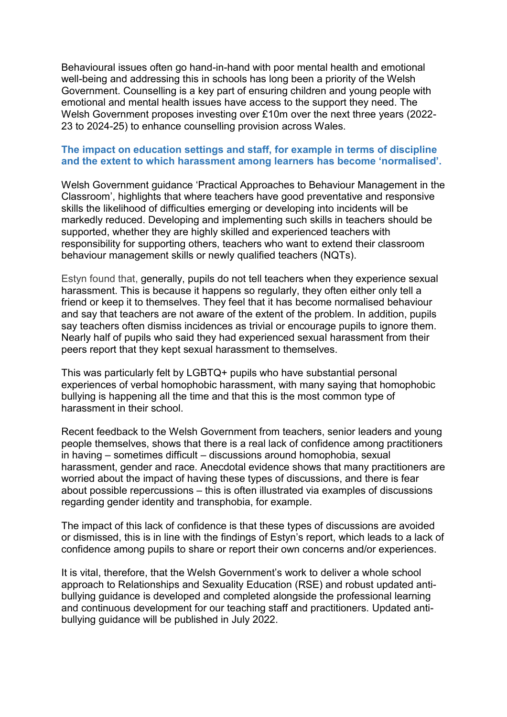Behavioural issues often go hand-in-hand with poor mental health and emotional well-being and addressing this in schools has long been a priority of the Welsh Government. Counselling is a key part of ensuring children and young people with emotional and mental health issues have access to the support they need. The Welsh Government proposes investing over £10m over the next three years (2022- 23 to 2024-25) to enhance counselling provision across Wales.

### **The impact on education settings and staff, for example in terms of discipline and the extent to which harassment among learners has become 'normalised'.**

Welsh Government guidance 'Practical Approaches to Behaviour Management in the Classroom', highlights that where teachers have good preventative and responsive skills the likelihood of difficulties emerging or developing into incidents will be markedly reduced. Developing and implementing such skills in teachers should be supported, whether they are highly skilled and experienced teachers with responsibility for supporting others, teachers who want to extend their classroom behaviour management skills or newly qualified teachers (NQTs).

Estyn found that, generally, pupils do not tell teachers when they experience sexual harassment. This is because it happens so regularly, they often either only tell a friend or keep it to themselves. They feel that it has become normalised behaviour and say that teachers are not aware of the extent of the problem. In addition, pupils say teachers often dismiss incidences as trivial or encourage pupils to ignore them. Nearly half of pupils who said they had experienced sexual harassment from their peers report that they kept sexual harassment to themselves.

This was particularly felt by LGBTQ+ pupils who have substantial personal experiences of verbal homophobic harassment, with many saying that homophobic bullying is happening all the time and that this is the most common type of harassment in their school.

Recent feedback to the Welsh Government from teachers, senior leaders and young people themselves, shows that there is a real lack of confidence among practitioners in having – sometimes difficult – discussions around homophobia, sexual harassment, gender and race. Anecdotal evidence shows that many practitioners are worried about the impact of having these types of discussions, and there is fear about possible repercussions – this is often illustrated via examples of discussions regarding gender identity and transphobia, for example.

The impact of this lack of confidence is that these types of discussions are avoided or dismissed, this is in line with the findings of Estyn's report, which leads to a lack of confidence among pupils to share or report their own concerns and/or experiences.

It is vital, therefore, that the Welsh Government's work to deliver a whole school approach to Relationships and Sexuality Education (RSE) and robust updated antibullying guidance is developed and completed alongside the professional learning and continuous development for our teaching staff and practitioners. Updated antibullying guidance will be published in July 2022.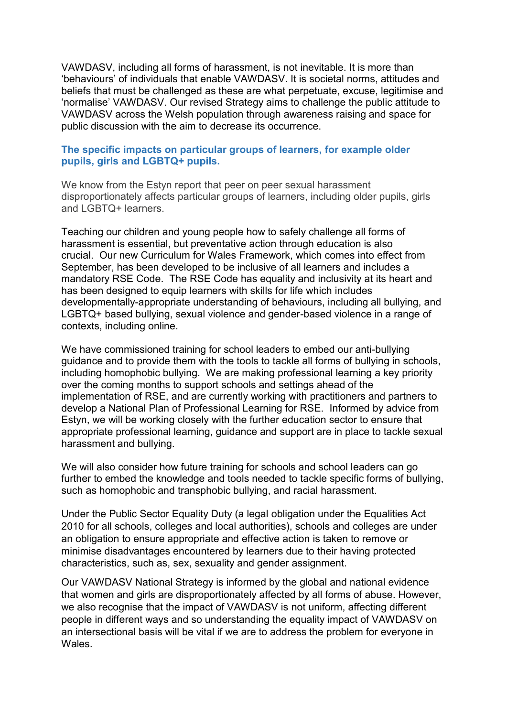VAWDASV, including all forms of harassment, is not inevitable. It is more than 'behaviours' of individuals that enable VAWDASV. It is societal norms, attitudes and beliefs that must be challenged as these are what perpetuate, excuse, legitimise and 'normalise' VAWDASV. Our revised Strategy aims to challenge the public attitude to VAWDASV across the Welsh population through awareness raising and space for public discussion with the aim to decrease its occurrence.

# **The specific impacts on particular groups of learners, for example older pupils, girls and LGBTQ+ pupils.**

We know from the Estyn report that peer on peer sexual harassment disproportionately affects particular groups of learners, including older pupils, girls and LGBTQ+ learners.

Teaching our children and young people how to safely challenge all forms of harassment is essential, but preventative action through education is also crucial. Our new Curriculum for Wales Framework, which comes into effect from September, has been developed to be inclusive of all learners and includes a mandatory RSE Code. The RSE Code has equality and inclusivity at its heart and has been designed to equip learners with skills for life which includes developmentally-appropriate understanding of behaviours, including all bullying, and LGBTQ+ based bullying, sexual violence and gender-based violence in a range of contexts, including online.

We have commissioned training for school leaders to embed our anti-bullying guidance and to provide them with the tools to tackle all forms of bullying in schools, including homophobic bullying. We are making professional learning a key priority over the coming months to support schools and settings ahead of the implementation of RSE, and are currently working with practitioners and partners to develop a National Plan of Professional Learning for RSE. Informed by advice from Estyn, we will be working closely with the further education sector to ensure that appropriate professional learning, guidance and support are in place to tackle sexual harassment and bullying.

We will also consider how future training for schools and school leaders can go further to embed the knowledge and tools needed to tackle specific forms of bullying, such as homophobic and transphobic bullying, and racial harassment.

Under the Public Sector Equality Duty (a legal obligation under the Equalities Act 2010 for all schools, colleges and local authorities), schools and colleges are under an obligation to ensure appropriate and effective action is taken to remove or minimise disadvantages encountered by learners due to their having protected characteristics, such as, sex, sexuality and gender assignment.

Our VAWDASV National Strategy is informed by the global and national evidence that women and girls are disproportionately affected by all forms of abuse. However, we also recognise that the impact of VAWDASV is not uniform, affecting different people in different ways and so understanding the equality impact of VAWDASV on an intersectional basis will be vital if we are to address the problem for everyone in Wales.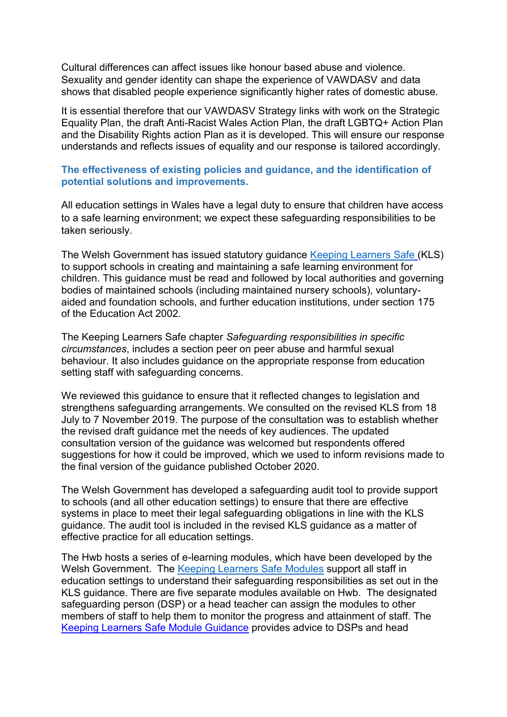Cultural differences can affect issues like honour based abuse and violence. Sexuality and gender identity can shape the experience of VAWDASV and data shows that disabled people experience significantly higher rates of domestic abuse.

It is essential therefore that our VAWDASV Strategy links with work on the Strategic Equality Plan, the draft Anti-Racist Wales Action Plan, the draft LGBTQ+ Action Plan and the Disability Rights action Plan as it is developed. This will ensure our response understands and reflects issues of equality and our response is tailored accordingly.

### **The effectiveness of existing policies and guidance, and the identification of potential solutions and improvements.**

All education settings in Wales have a legal duty to ensure that children have access to a safe learning environment; we expect these safeguarding responsibilities to be taken seriously.

The Welsh Government has issued statutory guidance [Keeping Learners Safe](https://eur01.safelinks.protection.outlook.com/?url=https%3A%2F%2Fgov.wales%2Fkeeping-learners-safe&data=04%7C01%7CNicola.Giles%40gov.wales%7Cf8a2dd943c234c1d446308da069061c4%7Ca2cc36c592804ae78887d06dab89216b%7C0%7C0%7C637829514420366799%7CUnknown%7CTWFpbGZsb3d8eyJWIjoiMC4wLjAwMDAiLCJQIjoiV2luMzIiLCJBTiI6Ik1haWwiLCJXVCI6Mn0%3D%7C3000&sdata=4UOO8eXycQrbHSvv9elwkVPLS0OruY6iawAVEWqa%2FjY%3D&reserved=0) (KLS) to support schools in creating and maintaining a safe learning environment for children. This guidance must be read and followed by local authorities and governing bodies of maintained schools (including maintained nursery schools), voluntaryaided and foundation schools, and further education institutions, under section 175 of the Education Act 2002.

The Keeping Learners Safe chapter *Safeguarding responsibilities in specific circumstances*, includes a section peer on peer abuse and harmful sexual behaviour. It also includes guidance on the appropriate response from education setting staff with safeguarding concerns.

We reviewed [this](http://gov.wales/docs/dcells/publications/150114-keeping-learners-safe.pdf) guidance to ensure that it reflected changes to legislation and strengthens safeguarding arrangements. We consulted on the revised KLS from 18 July to 7 November 2019. The purpose of the consultation was to establish whether the revised draft guidance met the needs of key audiences. The updated consultation version of the guidance was welcomed but respondents offered suggestions for how it could be improved, which we used to inform revisions made to the final version of the guidance published October 2020.

The Welsh Government has developed a safeguarding audit tool to provide support to schools (and all other education settings) to ensure that there are effective systems in place to meet their legal safeguarding obligations in line with the KLS guidance*.* The audit tool is included in the revised KLS guidance as a matter of effective practice for all education settings.

The Hwb hosts a series of e-learning modules, which have been developed by the Welsh Government. The [Keeping Learners Safe Modules](https://hwb.gov.wales/search?query=keeping%20learners%20safe&types=resource&strict=true) support all staff in education settings to understand their safeguarding responsibilities as set out in the KLS guidance. [There](https://learning.hwb.wales.gov.uk/playlists/view/a2bc11a2-d008-4dc4-856b-7e02287d56c0/en#page1) are five separate modules available on Hwb. The designated safeguarding person (DSP) or a head teacher can assign the modules to other members of staff to help them to monitor the progress and attainment of staff. The [Keeping Learners Safe Module Guidance](https://dysgu.hwb.gov.wales/api/storage/be81222b-bf92-4d07-83cc-1cc1a4b4a269/Keepinglearnerssafe-ModuleGuidance-final_english.pdf) provides advice to DSPs and head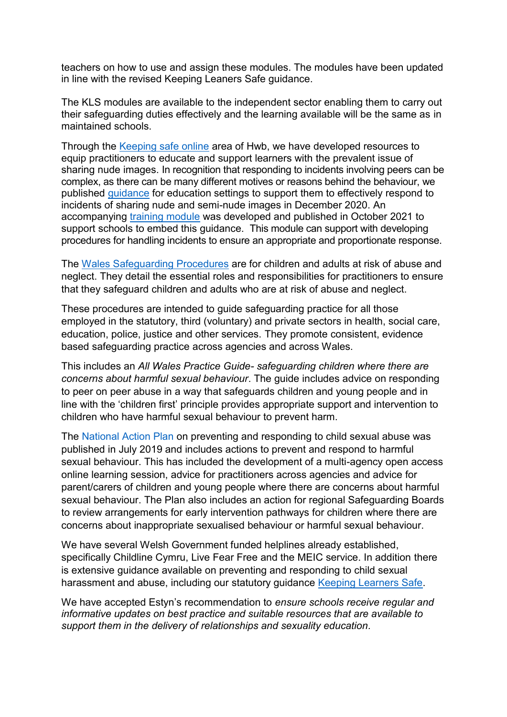teachers on how to use and assign these modules. The modules have been updated in line with the revised Keeping Leaners Safe guidance.

The KLS modules are available to the independent sector enabling them to carry out their safeguarding duties effectively and the learning available will be the same as in maintained schools.

Through the [Keeping safe online](https://eur01.safelinks.protection.outlook.com/?url=https%3A%2F%2Fhwb.gov.wales%2Fzones%2Fkeeping-safe-online%2F&data=04%7C01%7CKate.Rothwell%40gov.wales%7C7f79d0c7be904171a82308d920878759%7Ca2cc36c592804ae78887d06dab89216b%7C0%7C0%7C637576588721799293%7CUnknown%7CTWFpbGZsb3d8eyJWIjoiMC4wLjAwMDAiLCJQIjoiV2luMzIiLCJBTiI6Ik1haWwiLCJXVCI6Mn0%3D%7C1000&sdata=2QL%2FCpQos%2FStHpmhuIF2rLiWca974xOAP7gErETJNHM%3D&reserved=0) area of Hwb, we have developed resources to equip practitioners to educate and support learners with the prevalent issue of sharing nude images. In recognition that responding to incidents involving peers can be complex, as there can be many different motives or reasons behind the behaviour, we published [guidance](https://hwb.gov.wales/zones/keeping-safe-online/sharing-nudes-and-semi-nudes-responding-to-incidents-and-safeguarding-children-and-young-people) for education settings to support them to effectively respond to incidents of sharing nude and semi-nude images in December 2020. An accompanying [training module](https://hwb.gov.wales/repository/resource/7fbdda2f-3ec0-410d-b240-df1ba55b6e41) was developed and published in October 2021 to support schools to embed this guidance. This module can support with developing procedures for handling incidents to ensure an appropriate and proportionate response.

The [Wales Safeguarding Procedures](https://safeguarding.wales/) are for children and adults at risk of abuse and neglect. They detail the essential roles and responsibilities for practitioners to ensure that they safeguard children and adults who are at risk of abuse and neglect.

These procedures are intended to guide safeguarding practice for all those employed in the statutory, third (voluntary) and private sectors in health, social care, education, police, justice and other services. They promote consistent, evidence based safeguarding practice across agencies and across Wales.

This includes an *All Wales Practice Guide- safeguarding children where there are concerns about harmful sexual behaviour*. The guide includes advice on responding to peer on peer abuse in a way that safeguards children and young people and in line with the 'children first' principle provides appropriate support and intervention to children who have harmful sexual behaviour to prevent harm.

The [National Action Plan](Preventing%20and%20responding%20to%20child%20sexual%20abuse:%20national%20action%20plan%20|%20GOV.WALES) on preventing and responding to child sexual abuse was published in July 2019 and includes actions to prevent and respond to harmful sexual behaviour. This has included the development of a multi-agency open access online learning session, advice for practitioners across agencies and advice for parent/carers of children and young people where there are concerns about harmful sexual behaviour. The Plan also includes an action for regional Safeguarding Boards to review arrangements for early intervention pathways for children where there are concerns about inappropriate sexualised behaviour or harmful sexual behaviour.

We have several Welsh Government funded helplines already established, specifically Childline Cymru, Live Fear Free and the MEIC service. In addition there is extensive guidance available on preventing and responding to child sexual harassment and abuse, including our statutory guidance [Keeping Learners Safe.](https://eur01.safelinks.protection.outlook.com/?url=https%3A%2F%2Fgov.wales%2Fkeeping-learners-safe&data=04%7C01%7CNicola.Giles%40gov.wales%7C3f506f7fa3f14f09c06508d92c11cff1%7Ca2cc36c592804ae78887d06dab89216b%7C0%7C0%7C637589278473288675%7CUnknown%7CTWFpbGZsb3d8eyJWIjoiMC4wLjAwMDAiLCJQIjoiV2luMzIiLCJBTiI6Ik1haWwiLCJXVCI6Mn0%3D%7C1000&sdata=ofP%2Bx60rvXZuJE4lTWD2muVQWj1qoeqlVrnSvus%2BYIc%3D&reserved=0)

We have accepted Estyn's recommendation to *ensure schools receive regular and informative updates on best practice and suitable resources that are available to support them in the delivery of relationships and sexuality education.*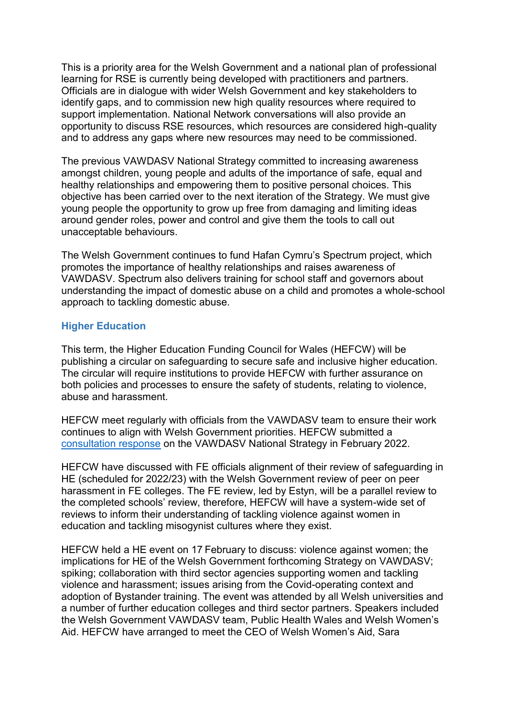This is a priority area for the Welsh Government and a national plan of professional learning for RSE is currently being developed with practitioners and partners. Officials are in dialogue with wider Welsh Government and key stakeholders to identify gaps, and to commission new high quality resources where required to support implementation. National Network conversations will also provide an opportunity to discuss RSE resources, which resources are considered high-quality and to address any gaps where new resources may need to be commissioned.

The previous VAWDASV National Strategy committed to increasing awareness amongst children, young people and adults of the importance of safe, equal and healthy relationships and empowering them to positive personal choices. This objective has been carried over to the next iteration of the Strategy. We must give young people the opportunity to grow up free from damaging and limiting ideas around gender roles, power and control and give them the tools to call out unacceptable behaviours.

The Welsh Government continues to fund Hafan Cymru's Spectrum project, which promotes the importance of healthy relationships and raises awareness of VAWDASV. Spectrum also delivers training for school staff and governors about understanding the impact of domestic abuse on a child and promotes a whole-school approach to tackling domestic abuse.

# **Higher Education**

This term, the Higher Education Funding Council for Wales (HEFCW) will be publishing a circular on safeguarding to secure safe and inclusive higher education. The circular will require institutions to provide HEFCW with further assurance on both policies and processes to ensure the safety of students, relating to violence, abuse and harassment.

HEFCW meet regularly with officials from the VAWDASV team to ensure their work continues to align with Welsh Government priorities. HEFCW submitted a [consultation response](https://eur01.safelinks.protection.outlook.com/?url=https%3A%2F%2Fwww.hefcw.ac.uk%2Fen%2Fpublications%2Fresponses%2Frefreshing-the-vawdasv-violence-against-women-domestic-abuse-and-sexual-violence-national-strategy-for-2022-to-2026%2F&data=04%7C01%7CLeah.Russell%40gov.wales%7C11ac76535dbc4d490efe08d9fcf9f9c4%7Ca2cc36c592804ae78887d06dab89216b%7C0%7C0%7C637818972997960364%7CUnknown%7CTWFpbGZsb3d8eyJWIjoiMC4wLjAwMDAiLCJQIjoiV2luMzIiLCJBTiI6Ik1haWwiLCJXVCI6Mn0%3D%7C3000&sdata=rb0bm1kNuWtfOXkGS5Wt8LmZynM6yLWG7gpLhmBRCTU%3D&reserved=0) on the VAWDASV National Strategy in February 2022.

HEFCW have discussed with FE officials alignment of their review of safeguarding in HE (scheduled for 2022/23) with the Welsh Government review of peer on peer harassment in FE colleges. The FE review, led by Estyn, will be a parallel review to the completed schools' review, therefore, HEFCW will have a system-wide set of reviews to inform their understanding of tackling violence against women in education and tackling misogynist cultures where they exist.

HEFCW held a HE event on 17 February to discuss: violence against women; the implications for HE of the Welsh Government forthcoming Strategy on VAWDASV; spiking; collaboration with third sector agencies supporting women and tackling violence and harassment; issues arising from the Covid-operating context and adoption of [Bystander training.](https://eur01.safelinks.protection.outlook.com/?url=https%3A%2F%2Fsupport.microsoft.com%2Fen-us%2Foffice%2Fthis-website-doesn-t-work-in-internet-explorer-8f5fc675-cd47-414c-9535-12821ddfc554%3Fui%3Den-us%26rs%3Den-us%26ad%3Dus&data=04%7C01%7CLeah.Russell%40gov.wales%7C0736354efb584a41935a08d9e4c19a1b%7Ca2cc36c592804ae78887d06dab89216b%7C0%7C0%7C637792342438791145%7CUnknown%7CTWFpbGZsb3d8eyJWIjoiMC4wLjAwMDAiLCJQIjoiV2luMzIiLCJBTiI6Ik1haWwiLCJXVCI6Mn0%3D%7C3000&sdata=65S7R4sz82d3GGJqs%2FLqJCFVwP4oR4ebxj%2BpV7V%2Biyk%3D&reserved=0) The event was attended by all Welsh universities and a number of further education colleges and third sector partners. Speakers included the Welsh Government VAWDASV team, Public Health Wales and Welsh Women's Aid. HEFCW have arranged to meet the CEO of Welsh Women's Aid, Sara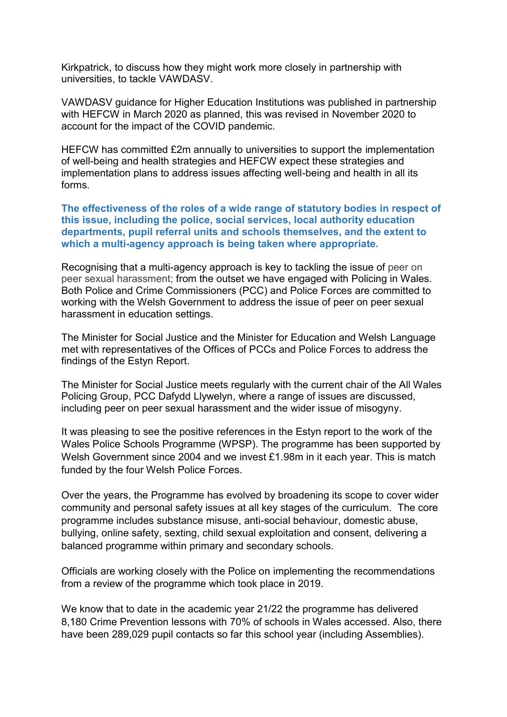Kirkpatrick, to discuss how they might work more closely in partnership with universities, to tackle VAWDASV.

VAWDASV guidance for Higher Education Institutions was published in partnership with HEFCW in March 2020 as planned, this was revised in November 2020 to account for the impact of the COVID pandemic.

HEFCW has committed £2m annually to universities to support the implementation of well-being and health strategies and HEFCW expect these strategies and implementation plans to address issues affecting well-being and health in all its forms.

**The effectiveness of the roles of a wide range of statutory bodies in respect of this issue, including the police, social services, local authority education departments, pupil referral units and schools themselves, and the extent to which a multi-agency approach is being taken where appropriate.**

Recognising that a multi-agency approach is key to tackling the issue of peer on peer sexual harassment; from the outset we have engaged with Policing in Wales. Both Police and Crime Commissioners (PCC) and Police Forces are committed to working with the Welsh Government to address the issue of peer on peer sexual harassment in education settings.

The Minister for Social Justice and the Minister for Education and Welsh Language met with representatives of the Offices of PCCs and Police Forces to address the findings of the Estyn Report.

The Minister for Social Justice meets regularly with the current chair of the All Wales Policing Group, PCC Dafydd Llywelyn, where a range of issues are discussed, including peer on peer sexual harassment and the wider issue of misogyny.

It was pleasing to see the positive references in the Estyn report to the work of the Wales Police Schools Programme (WPSP). The programme has been supported by Welsh Government since 2004 and we invest £1.98m in it each year. This is match funded by the four Welsh Police Forces.

Over the years, the Programme has evolved by broadening its scope to cover wider community and personal safety issues at all key stages of the curriculum. The core programme includes substance misuse, anti-social behaviour, domestic abuse, bullying, online safety, sexting, child sexual exploitation and consent, delivering a balanced programme within primary and secondary schools.

Officials are working closely with the Police on implementing the recommendations from a review of the programme which took place in 2019.

We know that to date in the academic year 21/22 the programme has delivered 8,180 Crime Prevention lessons with 70% of schools in Wales accessed. Also, there have been 289,029 pupil contacts so far this school year (including Assemblies).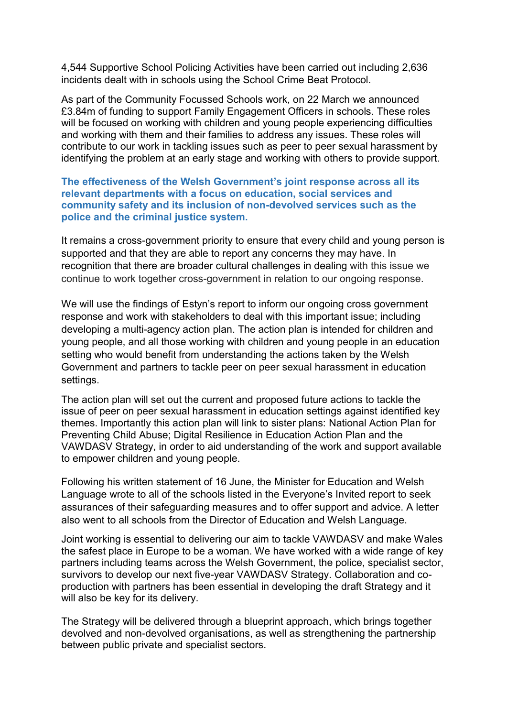4,544 Supportive School Policing Activities have been carried out including 2,636 incidents dealt with in schools using the School Crime Beat Protocol.

As part of the Community Focussed Schools work, on 22 March we announced £3.84m of funding to support Family Engagement Officers in schools. These roles will be focused on working with children and young people experiencing difficulties and working with them and their families to address any issues. These roles will contribute to our work in tackling issues such as peer to peer sexual harassment by identifying the problem at an early stage and working with others to provide support.

**The effectiveness of the Welsh Government's joint response across all its relevant departments with a focus on education, social services and community safety and its inclusion of non-devolved services such as the police and the criminal justice system.**

It remains a cross-government priority to ensure that every child and young person is supported and that they are able to report any concerns they may have. In recognition that there are broader cultural challenges in dealing with this issue we continue to work together cross-government in relation to our ongoing response.

We will use the findings of Estyn's report to inform our ongoing cross government response and work with stakeholders to deal with this important issue; including developing a multi-agency action plan. The action plan is intended for children and young people, and all those working with children and young people in an education setting who would benefit from understanding the actions taken by the Welsh Government and partners to tackle peer on peer sexual harassment in education settings.

The action plan will set out the current and proposed future actions to tackle the issue of peer on peer sexual harassment in education settings against identified key themes. Importantly this action plan will link to sister plans: National Action Plan for Preventing Child Abuse; Digital Resilience in Education Action Plan and the VAWDASV Strategy, in order to aid understanding of the work and support available to empower children and young people.

Following his written statement of 16 June, the Minister for Education and Welsh Language wrote to all of the schools listed in the Everyone's Invited report to seek assurances of their safeguarding measures and to offer support and advice. A letter also went to all schools from the Director of Education and Welsh Language.

Joint working is essential to delivering our aim to tackle VAWDASV and make Wales the safest place in Europe to be a woman. We have worked with a wide range of key partners including teams across the Welsh Government, the police, specialist sector, survivors to develop our next five-year VAWDASV Strategy. Collaboration and coproduction with partners has been essential in developing the draft Strategy and it will also be key for its delivery.

The Strategy will be delivered through a blueprint approach, which brings together devolved and non-devolved organisations, as well as strengthening the partnership between public private and specialist sectors.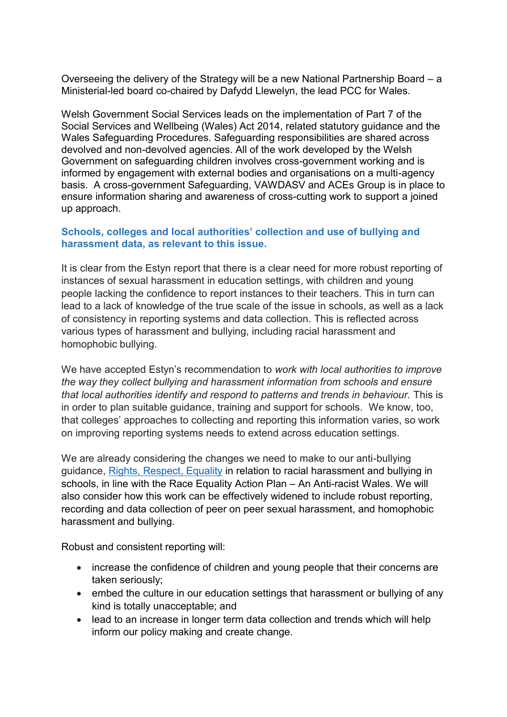Overseeing the delivery of the Strategy will be a new National Partnership Board – a Ministerial-led board co-chaired by Dafydd Llewelyn, the lead PCC for Wales.

Welsh Government Social Services leads on the implementation of Part 7 of the Social Services and Wellbeing (Wales) Act 2014, related statutory guidance and the Wales Safeguarding Procedures. Safeguarding responsibilities are shared across devolved and non-devolved agencies. All of the work developed by the Welsh Government on safeguarding children involves cross-government working and is informed by engagement with external bodies and organisations on a multi-agency basis. A cross-government Safeguarding, VAWDASV and ACEs Group is in place to ensure information sharing and awareness of cross-cutting work to support a joined up approach.

# **Schools, colleges and local authorities' collection and use of bullying and harassment data, as relevant to this issue.**

It is clear from the Estyn report that there is a clear need for more robust reporting of instances of sexual harassment in education settings, with children and young people lacking the confidence to report instances to their teachers. This in turn can lead to a lack of knowledge of the true scale of the issue in schools, as well as a lack of consistency in reporting systems and data collection. This is reflected across various types of harassment and bullying, including racial harassment and homophobic bullying.

We have accepted Estyn's recommendation to *work with local authorities to improve the way they collect bullying and harassment information from schools and ensure that local authorities identify and respond to patterns and trends in behaviour.* This is in order to plan suitable guidance, training and support for schools*.* We know, too, that colleges' approaches to collecting and reporting this information varies, so work on improving reporting systems needs to extend across education settings.

We are already considering the changes we need to make to our anti-bullying guidance, [Rights, Respect, Equality](https://gov.wales/school-bullying) in relation to racial harassment and bullying in schools, in line with the Race Equality Action Plan – An Anti-racist Wales. We will also consider how this work can be effectively widened to include robust reporting, recording and data collection of peer on peer sexual harassment, and homophobic harassment and bullying.

Robust and consistent reporting will:

- increase the confidence of children and young people that their concerns are taken seriously;
- embed the culture in our education settings that harassment or bullying of any kind is totally unacceptable; and
- lead to an increase in longer term data collection and trends which will help inform our policy making and create change.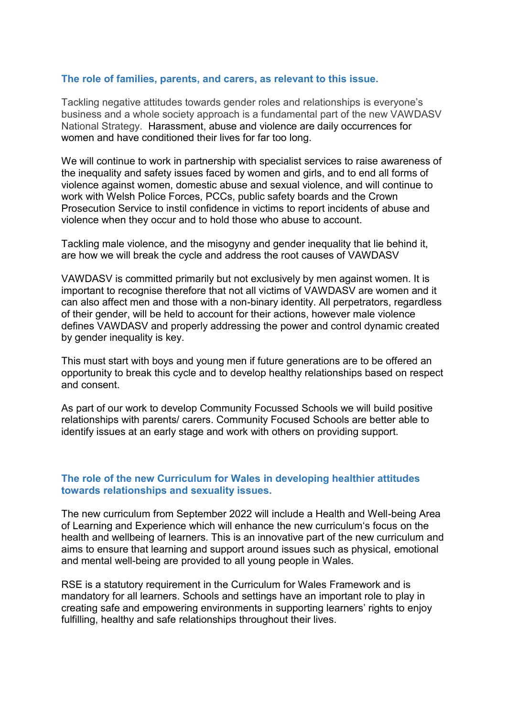#### **The role of families, parents, and carers, as relevant to this issue.**

Tackling negative attitudes towards gender roles and relationships is everyone's business and a whole society approach is a fundamental part of the new VAWDASV National Strategy. Harassment, abuse and violence are daily occurrences for women and have conditioned their lives for far too long.

We will continue to work in partnership with specialist services to raise awareness of the inequality and safety issues faced by women and girls, and to end all forms of violence against women, domestic abuse and sexual violence, and will continue to work with Welsh Police Forces, PCCs, public safety boards and the Crown Prosecution Service to instil confidence in victims to report incidents of abuse and violence when they occur and to hold those who abuse to account.

Tackling male violence, and the misogyny and gender inequality that lie behind it, are how we will break the cycle and address the root causes of VAWDASV

VAWDASV is committed primarily but not exclusively by men against women. It is important to recognise therefore that not all victims of VAWDASV are women and it can also affect men and those with a non-binary identity. All perpetrators, regardless of their gender, will be held to account for their actions, however male violence defines VAWDASV and properly addressing the power and control dynamic created by gender inequality is key.

This must start with boys and young men if future generations are to be offered an opportunity to break this cycle and to develop healthy relationships based on respect and consent.

As part of our work to develop Community Focussed Schools we will build positive relationships with parents/ carers. Community Focused Schools are better able to identify issues at an early stage and work with others on providing support.

#### **The role of the new Curriculum for Wales in developing healthier attitudes towards relationships and sexuality issues.**

The new curriculum from September 2022 will include a Health and Well-being Area of Learning and Experience which will enhance the new curriculum's focus on the health and wellbeing of learners. This is an innovative part of the new curriculum and aims to ensure that learning and support around issues such as physical, emotional and mental well-being are provided to all young people in Wales.

RSE is a statutory requirement in the Curriculum for Wales Framework and is mandatory for all learners. Schools and settings have an important role to play in creating safe and empowering environments in supporting learners' rights to enjoy fulfilling, healthy and safe relationships throughout their lives.